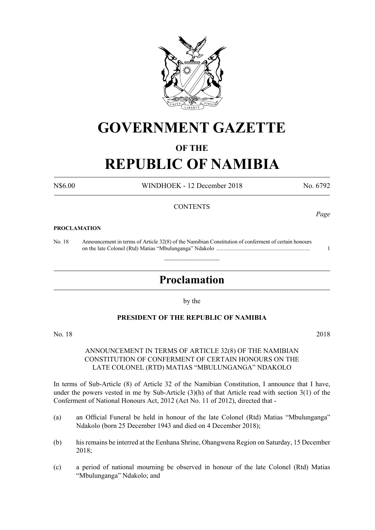

# **GOVERNMENT GAZETTE**

# **OF THE**

# **REPUBLIC OF NAMIBIA**

N\$6.00 WINDHOEK - 12 December 2018 No. 6792

*Page*

## **CONTENTS**

#### **PROCLAMATION**

No. 18 Announcement in terms of Article 32(8) of the Namibian Constitution of conferment of certain honours on the late Colonel (Rtd) Matias "Mbulunganga" Ndakolo .................................................................. 1

# **Proclamation**

 $\overline{\phantom{a}}$  , where  $\overline{\phantom{a}}$ 

by the

## **PRESIDENT OF THE REPUBLIC OF NAMIBIA**

No. 18 2018

## ANNOUNCEMENT IN TERMS OF ARTICLE 32(8) OF THE NAMIBIAN CONSTITUTION OF CONFERMENT OF CERTAIN HONOURS ON THE LATE COLONEL (RTD) MATIAS "MBULUNGANGA" NDAKOLO

In terms of Sub-Article (8) of Article 32 of the Namibian Constitution, I announce that I have, under the powers vested in me by Sub-Article  $(3)(h)$  of that Article read with section  $3(1)$  of the Conferment of National Honours Act, 2012 (Act No. 11 of 2012), directed that -

- (a) an Official Funeral be held in honour of the late Colonel (Rtd) Matias "Mbulunganga" Ndakolo (born 25 December 1943 and died on 4 December 2018);
- (b) his remains be interred at the Eenhana Shrine, Ohangwena Region on Saturday, 15 December 2018;
- (c) a period of national mourning be observed in honour of the late Colonel (Rtd) Matias "Mbulunganga" Ndakolo; and